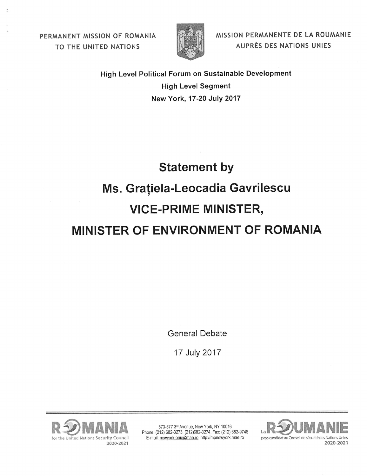PERMANENT MISSION OF ROMANIA TO THE UNITED NATIONS



MISSION PERMANENTE DE LA ROUMANIE AUPRÈS DES NATIONS UNIES

High Level Political Forum on Sustainable Development **High Level Segment** New York, 17-20 July 2017

## **Statement by** Ms. Grațiela-Leocadia Gavrilescu **VICE-PRIME MINISTER,** MINISTER OF ENVIRONMENT OF ROMANIA

**General Debate** 

17 July 2017



573-577 3rd Avenue, New York, NY 10016 Phone: (212) 682-3273, (212) 682-3274, Fax: (212) 682-9746 E-mail: newyork-onu@mae.ro http://mpnewyork.mae.ro

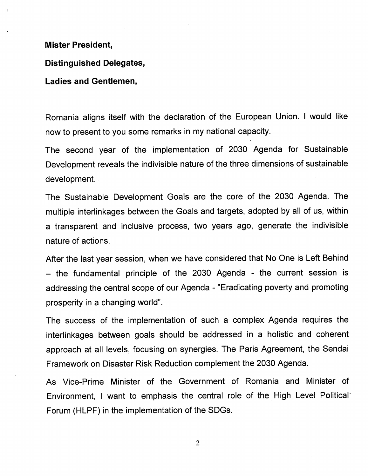## **Mister President,**

## **Distinguished Delegates,**

## **Ladies and Gentlemen,**

Romania aligns itself with the declaration of the European Union. I would like now to present to you some remarks in my national capacity.

The second year of the implementation of 2030 Agenda for Sustainable Development reveals the indivisible nature of the three dimensions of sustainable development.

The Sustainable Development Goals are the core of the 2030 Agenda. The multiple interlinkages between the Goals and targets, adopted by all of us, within a transparent and inclusive process, two years ago, generate the indivisible nature of actions.

After the last year session, when we have considered that No One is Left Behind - the fundamental principle of the 2030 Agenda - the current session is addressing the central scope of our Agenda - "Eradicating poverty and promoting prosperity in a changing world".

The success of the implementation of such a complex Agenda requires the interlinkages between goals should be addressed in a holistic and coherent approach at all levels, focusing on synergies. The Paris Agreement, the Sendai Framework on Disaster Risk Reduction complement the 2030 Agenda.

As Vice-Prime Minister of the Government of Romania and Minister of Environment, I want to emphasis the central role of the. High Level Political· Forum (HLPF) in the implementation of the SDGs.

2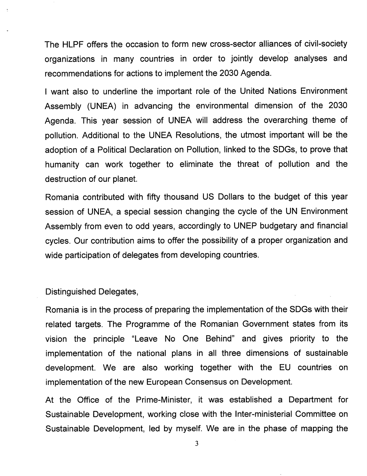The HLPF offers the occasion to form new cross-sector alliances of civil-society organizations in many countries in order to jointly develop analyses and recommendations for actions to implement the 2030 Agenda.

I want also to underline the important role of the United Nations Environment Assembly (UNEA) in advancing the environmental dimension of the 2030 Agenda. This year session of UNEA will address the overarching theme of pollution. Additional to the UNEA Resolutions, the utmost important will be the adoption of a Political Declaration on Pollution, linked to the SDGs, to prove that humanity can work together to eliminate the threat of pollution and the destruction of our planet.

Romania contributed with fifty thousand US Dollars to the budget of this year session of UNEA, a special session changing the cycle of the UN Environment Assembly from even to odd years, accordingly to UNEP budgetary and financial cycles. Our contribution aims to offer the possibility of a proper organization and wide participation of delegates from developing countries.

Distinguished Delegates,

Romania is in the process of preparing the implementation of the SDGs with their related targets. The Programme of the Romanian Government states from its vision the principle "Leave No One Behind" and gives priority to the implementation of the national plans in all three dimensions of sustainable development. We are also working together with the EU countries on implementation of the new European Consensus on Development.

At the Office of the Prime-Minister, it was established a Department for Sustainable Development, working close with the Inter-ministerial Committee on Sustainable Development, led by myself. We are in the phase of mapping the

3